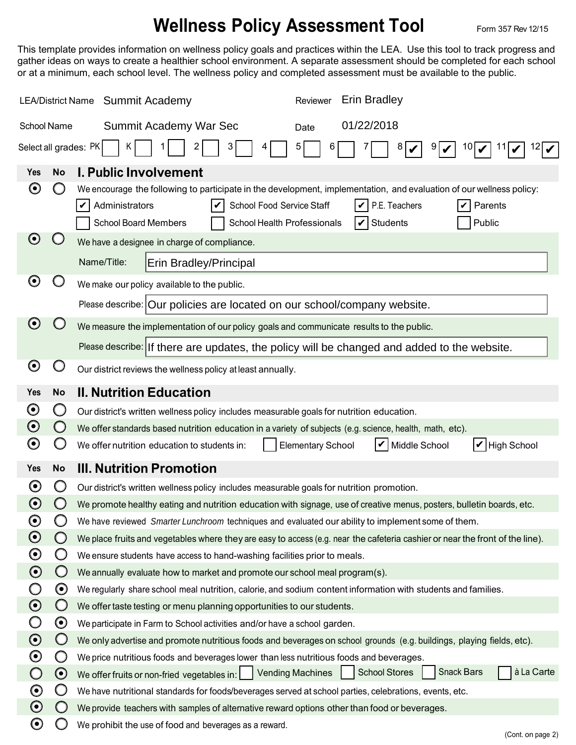## **Wellness Policy Assessment Tool** Form 357 Rev 12/15

This template provides information on wellness policy goals and practices within the LEA. Use this tool to track progress and gather ideas on ways to create a healthier school environment. A separate assessment should be completed for each school or at a minimum, each school level. The wellness policy and completed assessment must be available to the public.

| LEA/District Name Summit Academy           |                       | <b>Erin Bradley</b><br>Reviewer                                                                                                                                                                                                                                                                      |  |  |  |  |
|--------------------------------------------|-----------------------|------------------------------------------------------------------------------------------------------------------------------------------------------------------------------------------------------------------------------------------------------------------------------------------------------|--|--|--|--|
| <b>School Name</b>                         |                       | 01/22/2018<br>Summit Academy War Sec<br>Date                                                                                                                                                                                                                                                         |  |  |  |  |
| Select all grades: PK<br>9<br>10<br>6<br>ĸ |                       |                                                                                                                                                                                                                                                                                                      |  |  |  |  |
| Yes                                        | <b>No</b>             | <b>I. Public Involvement</b>                                                                                                                                                                                                                                                                         |  |  |  |  |
| O                                          |                       | We encourage the following to participate in the development, implementation, and evaluation of our wellness policy:<br>Administrators<br>School Food Service Staff<br>P.E. Teachers<br>Parents<br>V<br><b>School Board Members</b><br>School Health Professionals<br>Public<br><b>Students</b><br>V |  |  |  |  |
| $\boldsymbol{\Theta}$                      |                       | We have a designee in charge of compliance.                                                                                                                                                                                                                                                          |  |  |  |  |
|                                            |                       | Name/Title:<br>Erin Bradley/Principal                                                                                                                                                                                                                                                                |  |  |  |  |
| $\boldsymbol{\Theta}$                      |                       | We make our policy available to the public.                                                                                                                                                                                                                                                          |  |  |  |  |
|                                            |                       | Please describe: Our policies are located on our school/company website.                                                                                                                                                                                                                             |  |  |  |  |
| $\boldsymbol{\Theta}$                      |                       | We measure the implementation of our policy goals and communicate results to the public.                                                                                                                                                                                                             |  |  |  |  |
|                                            |                       | Please describe: If there are updates, the policy will be changed and added to the website.                                                                                                                                                                                                          |  |  |  |  |
| $\boldsymbol{\Theta}$                      |                       | Our district reviews the wellness policy at least annually.                                                                                                                                                                                                                                          |  |  |  |  |
| <b>Yes</b>                                 | <b>No</b>             | <b>II. Nutrition Education</b>                                                                                                                                                                                                                                                                       |  |  |  |  |
| $\boldsymbol{\Theta}$                      | O                     | Our district's written wellness policy includes measurable goals for nutrition education.                                                                                                                                                                                                            |  |  |  |  |
| $\boldsymbol{\odot}$                       | $\cup$                | We offer standards based nutrition education in a variety of subjects (e.g. science, health, math, etc).                                                                                                                                                                                             |  |  |  |  |
| $\boldsymbol{\Theta}$                      |                       | Middle School<br>$ V $ High School<br>V<br>We offer nutrition education to students in:<br><b>Elementary School</b>                                                                                                                                                                                  |  |  |  |  |
| <b>Yes</b>                                 | <b>No</b>             | <b>III. Nutrition Promotion</b>                                                                                                                                                                                                                                                                      |  |  |  |  |
| $\boldsymbol{\Theta}$                      | ( )                   | Our district's written wellness policy includes measurable goals for nutrition promotion.                                                                                                                                                                                                            |  |  |  |  |
| $\boldsymbol{\Theta}$                      |                       | We promote healthy eating and nutrition education with signage, use of creative menus, posters, bulletin boards, etc.                                                                                                                                                                                |  |  |  |  |
| $\boldsymbol{\Theta}$                      |                       | We have reviewed Smarter Lunchroom techniques and evaluated our ability to implement some of them.                                                                                                                                                                                                   |  |  |  |  |
| $\boldsymbol{\odot}$                       | $\bigcirc$            | We place fruits and vegetables where they are easy to access (e.g. near the cafeteria cashier or near the front of the line).                                                                                                                                                                        |  |  |  |  |
| $\boldsymbol{\odot}$                       | Ő                     | We ensure students have access to hand-washing facilities prior to meals.                                                                                                                                                                                                                            |  |  |  |  |
| $\boldsymbol{\odot}$                       | $\bigcirc$            | We annually evaluate how to market and promote our school meal program(s).                                                                                                                                                                                                                           |  |  |  |  |
|                                            | $\boldsymbol{\Theta}$ | We regularly share school meal nutrition, calorie, and sodium content information with students and families.                                                                                                                                                                                        |  |  |  |  |
| $\boldsymbol{\odot}$                       | $\bigcirc$            | We offer taste testing or menu planning opportunities to our students.                                                                                                                                                                                                                               |  |  |  |  |
|                                            | $\boldsymbol{\Theta}$ | We participate in Farm to School activities and/or have a school garden.                                                                                                                                                                                                                             |  |  |  |  |
| $\boldsymbol{\odot}$                       | $\bigcirc$            | We only advertise and promote nutritious foods and beverages on school grounds (e.g. buildings, playing fields, etc).                                                                                                                                                                                |  |  |  |  |
| $\boldsymbol{\odot}$                       | Ő                     | We price nutritious foods and beverages lower than less nutritious foods and beverages.                                                                                                                                                                                                              |  |  |  |  |
| $\bigcirc$                                 | $\odot$               | <b>Snack Bars</b><br>à La Carte<br><b>School Stores</b><br>We offer fruits or non-fried vegetables in:     Vending Machines                                                                                                                                                                          |  |  |  |  |
| $\boldsymbol{\odot}$                       | Ő                     | We have nutritional standards for foods/beverages served at school parties, celebrations, events, etc.                                                                                                                                                                                               |  |  |  |  |
| $\boldsymbol{\odot}$                       | $\bigcirc$            | We provide teachers with samples of alternative reward options other than food or beverages.                                                                                                                                                                                                         |  |  |  |  |
| $\boldsymbol{\Theta}$                      | 0                     | We prohibit the use of food and beverages as a reward.<br>(Cont. on page 2)                                                                                                                                                                                                                          |  |  |  |  |